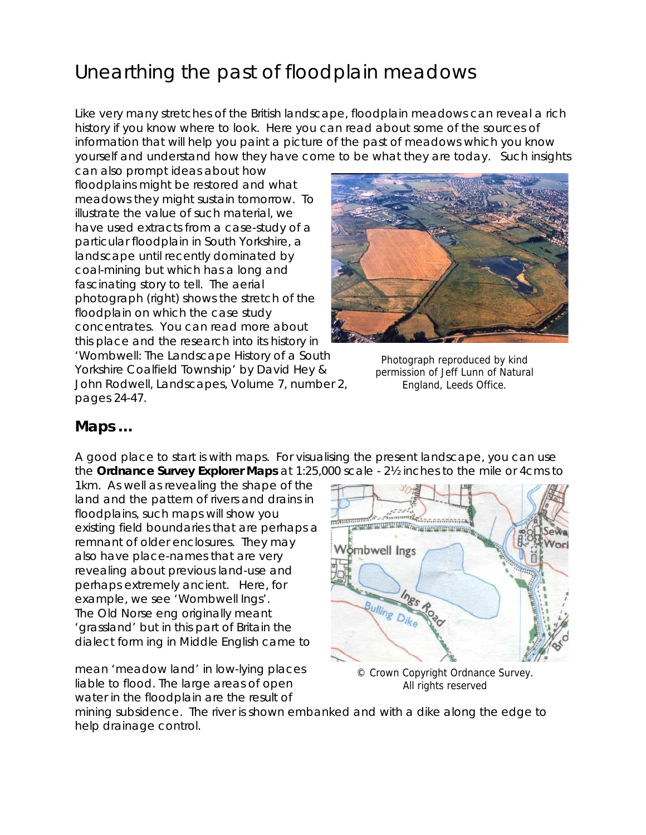# Unearthing the past of floodplain meadows

Like very many stretches of the British landscape, floodplain meadows can reveal a rich history if you know where to look. Here you can read about some of the sources of information that will help you paint a picture of the past of meadows which you know yourself and understand how they have come to be what they are today. Such insights

can also prompt ideas about how floodplains might be restored and what meadows they might sustain tomorrow. To illustrate the value of such material, we have used extracts from a case-study of a particular floodplain in South Yorkshire, a landscape until recently dominated by coal-mining but which has a long and fascinating story to tell. The aerial photograph (right) shows the stretch of the floodplain on which the case study concentrates. You can read more about this place and the research into its history in

Photograph reproduced by kind permission of Jeff Lunn of Natural England, Leeds Office.

'Wombwell: The Landscape History of a South Yorkshire Coalfield Township' by David Hey & John Rodwell, *Landscapes,* Volume 7, number 2, pages 24-47.

## **Maps …**

A good place to start is with maps. For visualising the present landscape, you can use the **Ordnance Survey Explorer Maps** at 1:25,000 scale - 2½ inches to the mile or 4cms to

1km. As well as revealing the shape of the land and the pattern of rivers and drains in floodplains, such maps will show you existing field boundaries that are perhaps a remnant of older enclosures. They may also have place-names that are very revealing about previous land-use and perhaps extremely ancient. Here, for example, we see 'Wombwell Ings'. The Old Norse *eng* originally meant 'grassland' but in this part of Britain the dialect form *ing* in Middle English came to

mean 'meadow land' in low-lying places liable to flood. The large areas of open water in the floodplain are the result of



© Crown Copyright Ordnance Survey. All rights reserved

mining subsidence. The river is shown embanked and with a dike along the edge to help drainage control.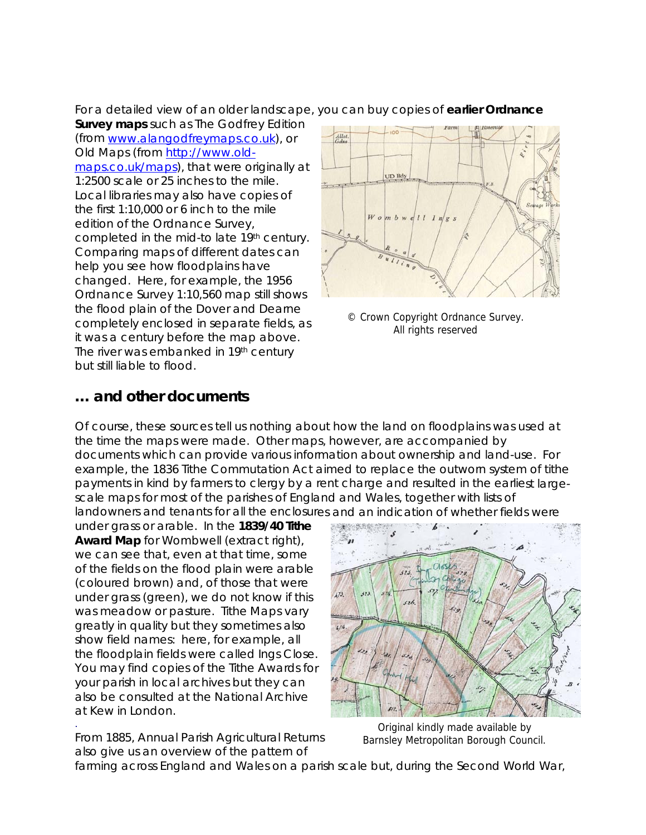For a detailed view of an older landscape , you can buy copies of **earlier Ordnance** 

**Survey maps** such as The Godfrey Edition (from [www.alangodfreymaps.co](http://www.alangodfreymaps.co.uk/).uk), or [Old Maps \(from](http://www.alangodfreymaps.co.uk/) http://www.old-maps.co.uk/maps[\), that were originall](http://www.old-maps.co.uk/maps)y at [1:2500 scale or 25 inches to the mile.](http://www.old-maps.co.uk/maps)  [Local libraries may also have copies o](http://www.old-maps.co.uk/maps) f [the first 1:10,000 or 6 inch to the m](http://www.old-maps.co.uk/maps) ile [edition of the Ordnance Survey,](http://www.old-maps.co.uk/maps)  [completed in the mid-to late 19th century](http://www.old-maps.co.uk/maps) . [Comparing maps of different dates](http://www.old-maps.co.uk/maps)  can [help you see how floodplains have](http://www.old-maps.co.uk/maps)  [changed. Here, for example, the 1956](http://www.old-maps.co.uk/maps)  [Ordnance Survey 1:10,560 map still shows](http://www.old-maps.co.uk/maps) [the flood plain of the Dover and Dearne](http://www.old-maps.co.uk/maps)  [completely enclosed in separate fields, as](http://www.old-maps.co.uk/maps) [it was a century before the map above.](http://www.old-maps.co.uk/maps) [The river was embanke](http://www.old-maps.co.uk/maps)d in 19<sup>th</sup> century but still liable to flood.



© Crown Copyright Ordnance Survey. All rights reserved

### **and other documents …**

Of course, these sources tell us nothing about how the land on floodplains was used at payments in kind by farmers to clergy by a rent charge and resulted in the earliest largelandowners and tenants for all the enclosures and an indication of whether fields were the time the maps were made. Other maps, however, are accompanied by documents which can provide various information about ownership and land-use. For example, the 1836 Tithe Commutation Act aimed to replace the outworn system of tithe scale maps for most of the parishes of England and Wales, together with lists of

You may find copies of the Tithe Awards for also be consulted at the National Archive at Kew in London. under grass or arable. In the **1839/40 Tithe Award Map** for Wombwell (extract right), we can see that, even at that time, some of the fields on the flood plain were arable (coloured brown) and, of those that were under grass (green), we do not know if this was meadow or pasture. Tithe Maps vary greatly in quality but they sometimes also show field names: here, for example, all the floodplain fields were called Ings Close. your parish in local archives but they can



Original kindly made available by Barnsley Metropolitan Borough Council.

From 1885, Annual Parish Agricultural Returns also give us an overview of the pattern of

.

farming across England and Wales on a parish scale but, during the Second World War,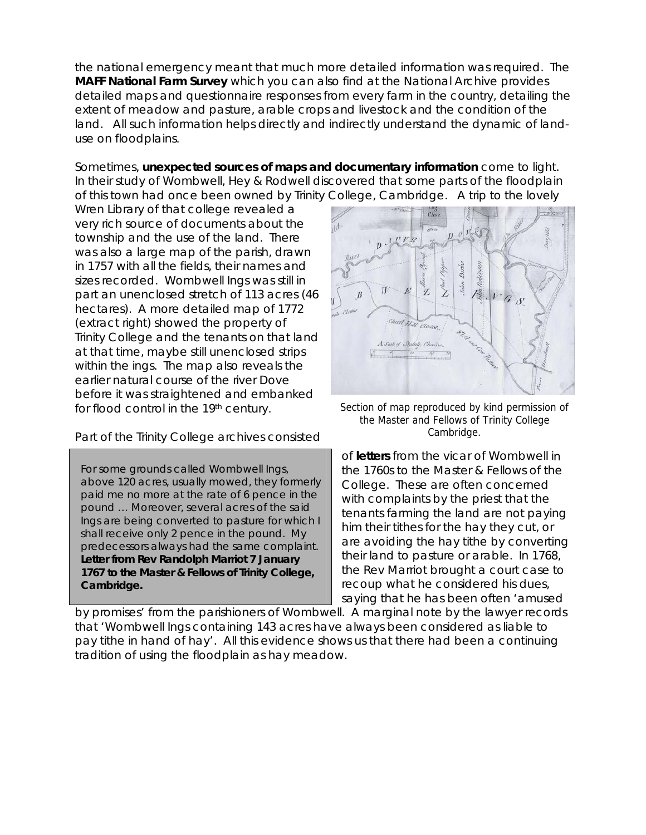the national emergency meant that much more detailed information was required. T he **MAFF National Farm Survey** which you can also find at the National Archive provides detailed maps and questionnaire responses from every farm in the country, detailing the extent of meadow and pasture, arable crops and livestock and the condition of the land. All such information helps directly and indirectly understand the dynamic of landuse on floodplains.

of this town had once been owned by Trinity College, Cambridge. A trip to the lovely Sometimes, **unexpected sources of maps and documentary information** come to light. In their study of Wombwell, Hey & Rodwell discovered that some parts of the floodplain

part an unenclosed stretch of 113 acres (46 Trinity College and the tenants on that land within the ings. The map also reveals the before it was straightened and embanked for flood control in the 19<sup>th</sup> century. Wren Library of that college revealed a very rich source of documents about the township and the use of the land. There was also a large map of the parish, drawn in 1757 with all the fields, their names and sizes recorded. Wombwell Ings was still in hectares). A more detailed map of 1772 (extract right) showed the property of at that time, maybe still unenclosed strips earlier natural course of the river Dove

#### Part of the Trinity College archives consisted

 For some grounds called Wombwell Ings, above 120 acres, usually mowed, they formerly paid me no more at the rate of 6 pence in the pound … Moreover, several acres of the said Ings are being converted to pasture for which I shall receive only 2 pence in the pound. My predecessors always had the same complaint. **Letter from Rev Randolph Marriot 7 January 1767 to the Master & Fellows of Trinity College, Cambridge.** 



Section of map reproduced by kind permission of the Master and Fellows of Trinity College Cambridge.

of **letters** from the vicar of Wombwell in the 1760s to the Master & Fellows of the saying that he has been often 'amused College. These are often concerned with complaints by the priest that the tenants farming the land are not paying him their tithes for the hay they cut, or are avoiding the hay tithe by converting their land to pasture or arable. In 1768, the Rev Marriot brought a court case to recoup what he considered his dues,

by promises' from the parishioners of Wombwell. A marginal note by the lawyer records that 'Wombwell Ings containing 143 acres have always been considered as liable to pay tithe in hand of hay'. All this evidence shows us that there had been a continuing tradition of using the floodplain as hay meadow.